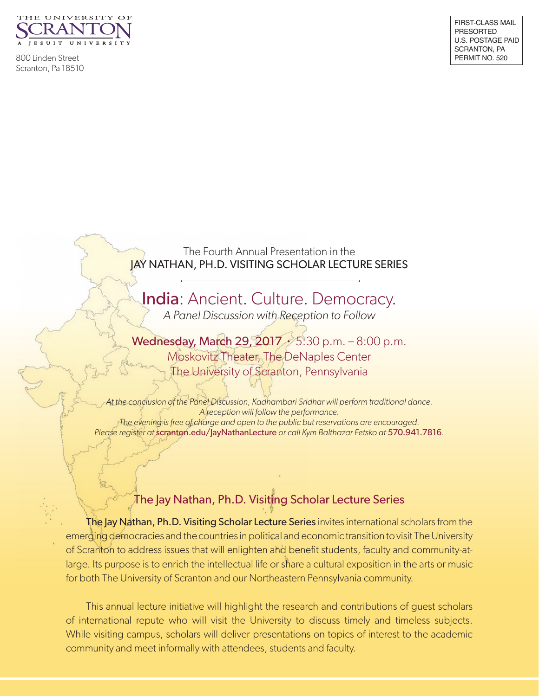

800 Linden Street Scranton, Pa 18510

The Fourth Annual Presentation in the JAY NATHAN, PH.D. VISITING SCHOLAR LECTURE SERIES

**India**: Ancient. Culture. Democracy. *A Panel Discussion with Reception to Follow*

Wednesday, March 29, 2017 • 5:30 p.m. – 8:00 p.m. Moskovitz Theater, The DeNaples Center The University of Scranton, Pennsylvania

*At the conclusion of the Panel Discussion, Kadhambari Sridhar will perform traditional dance. A reception will follow the performance. The evening is free of charge and open to the public but reservations are encouraged. Please register at* scranton.edu/JayNathanLecture *or call Kym Balthazar Fetsko at* 570.941.7816.

## The Jay Nathan, Ph.D. Visiting Scholar Lecture Series

The Jay Nathan, Ph.D. Visiting Scholar Lecture Series invites international scholars from the emerging democracies and the countries in political and economic transition to visit The University of Scranton to address issues that will enlighten and benefit students, faculty and community-atlarge. Its purpose is to enrich the intellectual life or share a cultural exposition in the arts or music for both The University of Scranton and our Northeastern Pennsylvania community.

This annual lecture initiative will highlight the research and contributions of guest scholars of international repute who will visit the University to discuss timely and timeless subjects. While visiting campus, scholars will deliver presentations on topics of interest to the academic community and meet informally with attendees, students and faculty.